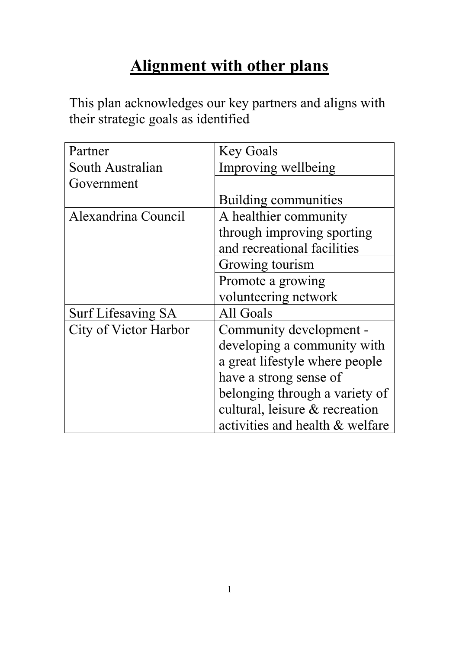### **Alignment with other plans**

This plan acknowledges our key partners and aligns with their strategic goals as identified

| Partner                   | <b>Key Goals</b>                |
|---------------------------|---------------------------------|
| South Australian          | Improving wellbeing             |
| Government                |                                 |
|                           | Building communities            |
| Alexandrina Council       | A healthier community           |
|                           | through improving sporting      |
|                           | and recreational facilities     |
|                           | Growing tourism                 |
|                           | Promote a growing               |
|                           | volunteering network            |
| <b>Surf Lifesaving SA</b> | All Goals                       |
| City of Victor Harbor     | Community development -         |
|                           | developing a community with     |
|                           | a great lifestyle where people  |
|                           | have a strong sense of          |
|                           | belonging through a variety of  |
|                           | cultural, leisure & recreation  |
|                           | activities and health & welfare |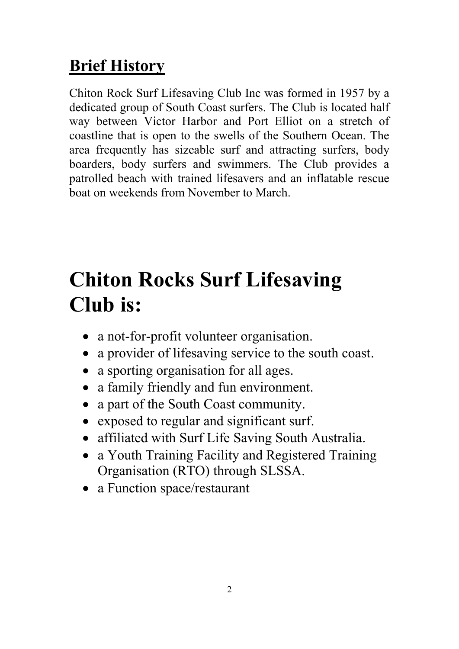### **Brief History**

Chiton Rock Surf Lifesaving Club Inc was formed in 1957 by a dedicated group of South Coast surfers. The Club is located half way between Victor Harbor and Port Elliot on a stretch of coastline that is open to the swells of the Southern Ocean. The area frequently has sizeable surf and attracting surfers, body boarders, body surfers and swimmers. The Club provides a patrolled beach with trained lifesavers and an inflatable rescue boat on weekends from November to March.

## **Chiton Rocks Surf Lifesaving Club is:**

- a not-for-profit volunteer organisation.
- a provider of lifesaving service to the south coast.
- a sporting organisation for all ages.
- a family friendly and fun environment.
- a part of the South Coast community.
- exposed to regular and significant surf.
- affiliated with Surf Life Saving South Australia.
- a Youth Training Facility and Registered Training Organisation (RTO) through SLSSA.
- a Function space/restaurant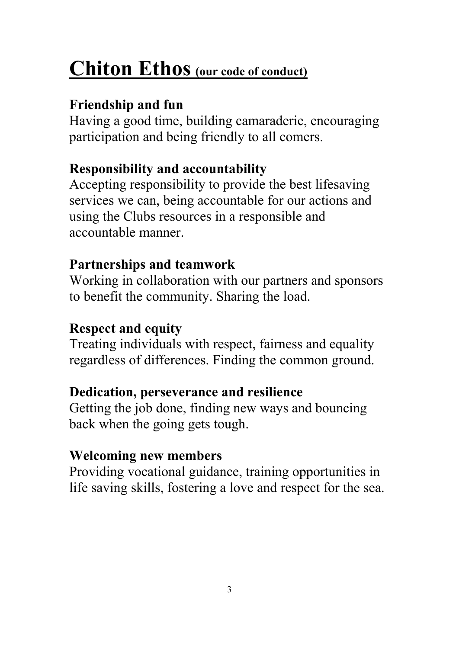# **Chiton Ethos (our code of conduct)**

### **Friendship and fun**

Having a good time, building camaraderie, encouraging participation and being friendly to all comers.

### **Responsibility and accountability**

Accepting responsibility to provide the best lifesaving services we can, being accountable for our actions and using the Clubs resources in a responsible and accountable manner.

### **Partnerships and teamwork**

Working in collaboration with our partners and sponsors to benefit the community. Sharing the load.

### **Respect and equity**

Treating individuals with respect, fairness and equality regardless of differences. Finding the common ground.

### **Dedication, perseverance and resilience**

Getting the job done, finding new ways and bouncing back when the going gets tough.

### **Welcoming new members**

Providing vocational guidance, training opportunities in life saving skills, fostering a love and respect for the sea.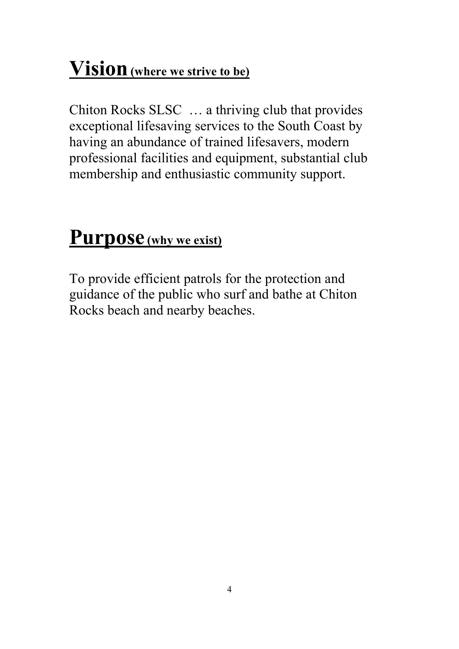## **Vision(where we strive to be)**

Chiton Rocks SLSC … a thriving club that provides exceptional lifesaving services to the South Coast by having an abundance of trained lifesavers, modern professional facilities and equipment, substantial club membership and enthusiastic community support.

### **Purpose(why we exist)**

To provide efficient patrols for the protection and guidance of the public who surf and bathe at Chiton Rocks beach and nearby beaches.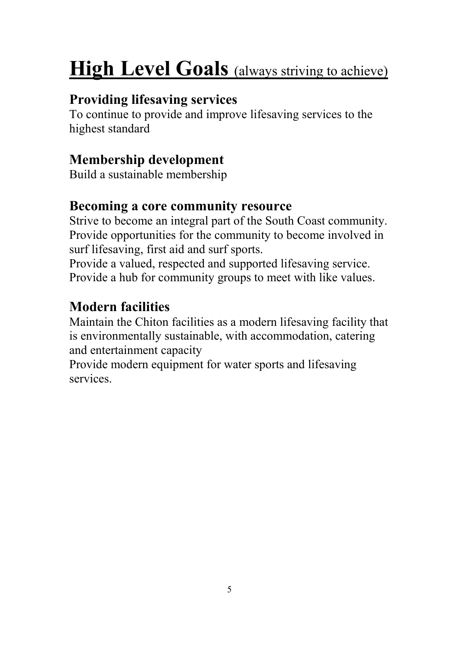# **High Level Goals** (always striving to achieve)

### **Providing lifesaving services**

To continue to provide and improve lifesaving services to the highest standard

### **Membership development**

Build a sustainable membership

#### **Becoming a core community resource**

Strive to become an integral part of the South Coast community. Provide opportunities for the community to become involved in surf lifesaving, first aid and surf sports.

Provide a valued, respected and supported lifesaving service. Provide a hub for community groups to meet with like values.

### **Modern facilities**

Maintain the Chiton facilities as a modern lifesaving facility that is environmentally sustainable, with accommodation, catering and entertainment capacity

Provide modern equipment for water sports and lifesaving services.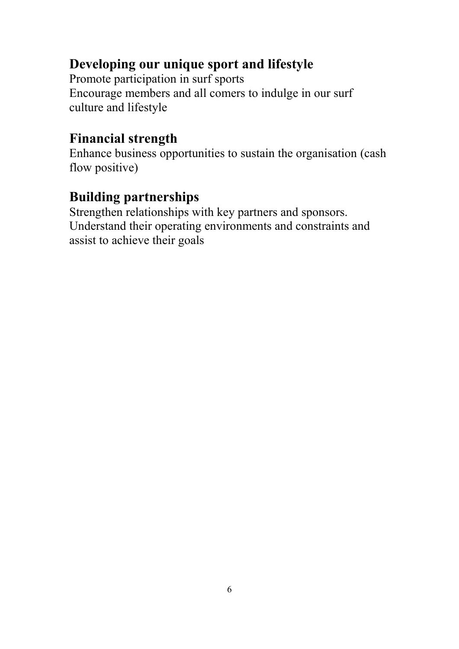#### **Developing our unique sport and lifestyle**

Promote participation in surf sports Encourage members and all comers to indulge in our surf culture and lifestyle

#### **Financial strength**

Enhance business opportunities to sustain the organisation (cash flow positive)

### **Building partnerships**

Strengthen relationships with key partners and sponsors. Understand their operating environments and constraints and assist to achieve their goals